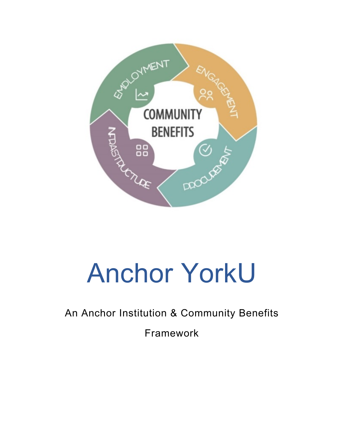

## An Anchor Institution & Community Benefits

Framework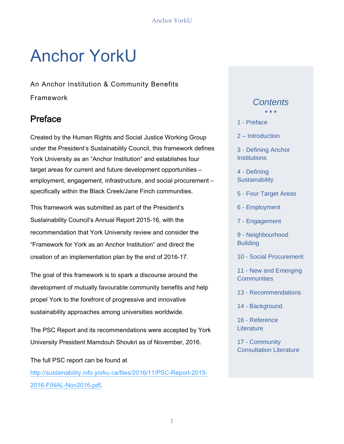An Anchor Institution & Community Benefits Framework

## Preface

Created by the Human Rights and Social Justice Working Group under the President's Sustainability Council, this framework defines York University as an "Anchor Institution" and establishes four target areas for current and future development opportunities – employment, engagement, infrastructure, and social procurement – specifically within the Black Creek/Jane Finch communities.

This framework was submitted as part of the President's Sustainability Council's Annual Report 2015-16, with the recommendation that York University review and consider the "Framework for York as an Anchor Institution" and direct the creation of an implementation plan by the end of 2016-17.

The goal of this framework is to spark a discourse around the development of mutually favourable community benefits and help propel York to the forefront of progressive and innovative sustainability approaches among universities worldwide.

The PSC Report and its recommendations were accepted by York University President Mamdouh Shoukri as of November, 2016.

The full PSC report can be found at http://sustainability.info.yorku.ca/files/2016/11/PSC-Report-2015- 2016-FINAL-Nov2016.pdf.

### *Contents*  $\bullet$   $\bullet$   $\bullet$

- 1 Preface
- 2 Introduction
- 3 Defining Anchor **Institutions**
- 4 Defining **Sustainability**
- 5 Four Target Areas
- 6 Employment
- 7 Engagement
- 9 Neighbourhood **Building**
- 10 Social Procurement
- 11 New and Emerging **Communities**
- 13 Recommendations
- 14 Background
- 16 Reference **Literature**
- 17 Community Consultation Literature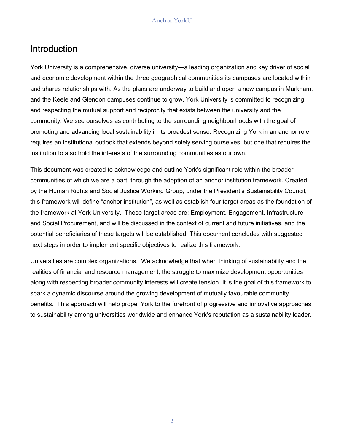## Introduction

York University is a comprehensive, diverse university—a leading organization and key driver of social and economic development within the three geographical communities its campuses are located within and shares relationships with. As the plans are underway to build and open a new campus in Markham, and the Keele and Glendon campuses continue to grow, York University is committed to recognizing and respecting the mutual support and reciprocity that exists between the university and the community. We see ourselves as contributing to the surrounding neighbourhoods with the goal of promoting and advancing local sustainability in its broadest sense. Recognizing York in an anchor role requires an institutional outlook that extends beyond solely serving ourselves, but one that requires the institution to also hold the interests of the surrounding communities as our own.

This document was created to acknowledge and outline York's significant role within the broader communities of which we are a part, through the adoption of an anchor institution framework. Created by the Human Rights and Social Justice Working Group, under the President's Sustainability Council, this framework will define "anchor institution", as well as establish four target areas as the foundation of the framework at York University. These target areas are: Employment, Engagement, Infrastructure and Social Procurement, and will be discussed in the context of current and future initiatives, and the potential beneficiaries of these targets will be established. This document concludes with suggested next steps in order to implement specific objectives to realize this framework.

Universities are complex organizations. We acknowledge that when thinking of sustainability and the realities of financial and resource management, the struggle to maximize development opportunities along with respecting broader community interests will create tension. It is the goal of this framework to spark a dynamic discourse around the growing development of mutually favourable community benefits. This approach will help propel York to the forefront of progressive and innovative approaches to sustainability among universities worldwide and enhance York's reputation as a sustainability leader.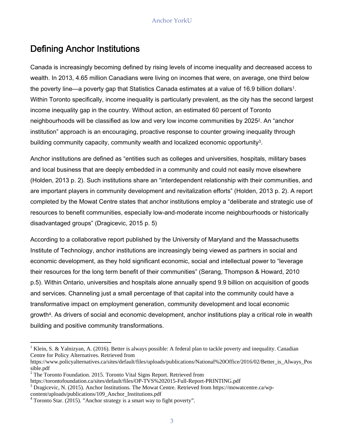## Defining Anchor Institutions

Canada is increasingly becoming defined by rising levels of income inequality and decreased access to wealth. In 2013, 4.65 million Canadians were living on incomes that were, on average, one third below the poverty line—a poverty gap that Statistics Canada estimates at a value of 16.9 billion dollars<sup>1</sup>. Within Toronto specifically, income inequality is particularly prevalent, as the city has the second largest income inequality gap in the country. Without action, an estimated 60 percent of Toronto neighbourhoods will be classified as low and very low income communities by 20252. An "anchor institution" approach is an encouraging, proactive response to counter growing inequality through building community capacity, community wealth and localized economic opportunity3.

Anchor institutions are defined as "entities such as colleges and universities, hospitals, military bases and local business that are deeply embedded in a community and could not easily move elsewhere (Holden, 2013 p. 2). Such institutions share an "interdependent relationship with their communities, and are important players in community development and revitalization efforts" (Holden, 2013 p. 2). A report completed by the Mowat Centre states that anchor institutions employ a "deliberate and strategic use of resources to benefit communities, especially low-and-moderate income neighbourhoods or historically disadvantaged groups" (Dragicevic, 2015 p. 5)

According to a collaborative report published by the University of Maryland and the Massachusetts Institute of Technology, anchor institutions are increasingly being viewed as partners in social and economic development, as they hold significant economic, social and intellectual power to "leverage their resources for the long term benefit of their communities" (Serang, Thompson & Howard, 2010 p.5). Within Ontario, universities and hospitals alone annually spend 9.9 billion on acquisition of goods and services. Channeling just a small percentage of that capital into the community could have a transformative impact on employment generation, community development and local economic growth4. As drivers of social and economic development, anchor institutions play a critical role in wealth building and positive community transformations.

 Centre for Policy Alternatives. Retrieved from <sup>1</sup> Klein, S. & Yalnizyan, A. (2016). Better is always possible: A federal plan to tackle poverty and inequality. Canadian

https://www.policyalternatives.ca/sites/default/files/uploads/publications/National%20Office/2016/02/Better\_is\_Always\_Pos sible.pdf

 $2$ <sup>2</sup> The Toronto Foundation. 2015. Toronto Vital Signs Report. Retrieved from

https://torontofoundation.ca/sites/default/files/OP-TVS%202015-Full-Report-PRINTING.pdf 3

<sup>&</sup>lt;sup>3</sup> Dragicevic, N. (2015). Anchor Institutions. The Mowat Centre. Retrieved from https://mowatcentre.ca/wpcontent/uploads/publications/109\_Anchor\_Institutions.pdf

 $4$  Toronto Star. (2015). "Anchor strategy is a smart way to fight poverty".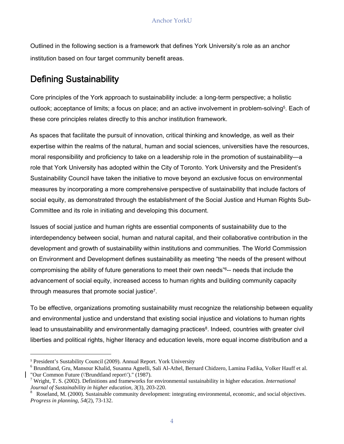Outlined in the following section is a framework that defines York University's role as an anchor institution based on four target community benefit areas.

## Defining Sustainability

these core principles relates directly to this anchor institution framework. Core principles of the York approach to sustainability include: a long-term perspective; a holistic outlook; acceptance of limits; a focus on place; and an active involvement in problem-solving<sup>5</sup>. Each of

As spaces that facilitate the pursuit of innovation, critical thinking and knowledge, as well as their expertise within the realms of the natural, human and social sciences, universities have the resources, moral responsibility and proficiency to take on a leadership role in the promotion of sustainability—a role that York University has adopted within the City of Toronto. York University and the President's Sustainability Council have taken the initiative to move beyond an exclusive focus on environmental measures by incorporating a more comprehensive perspective of sustainability that include factors of social equity, as demonstrated through the establishment of the Social Justice and Human Rights Sub-Committee and its role in initiating and developing this document.

Issues of social justice and human rights are essential components of sustainability due to the interdependency between social, human and natural capital, and their collaborative contribution in the development and growth of sustainability within institutions and communities. The World Commission on Environment and Development defines sustainability as meeting "the needs of the present without compromising the ability of future generations to meet their own needs"6-- needs that include the advancement of social equity, increased access to human rights and building community capacity through measures that promote social justice7.

To be effective, organizations promoting sustainability must recognize the relationship between equality and environmental justice and understand that existing social injustice and violations to human rights lead to unsustainability and environmentally damaging practices<sup>8</sup>. Indeed, countries with greater civil liberties and political rights, higher literacy and education levels, more equal income distribution and a

<sup>5</sup> President's Sustability Council (2009). Annual Report. York University 6

Brundtland, Gru, Mansour Khalid, Susanna Agnelli, Sali Al-Athel, Bernard Chidzero, Lamina Fadika, Volker Hauff et al. "Our Common Future (\'Brundtland report\')." (1987).

<sup>7</sup> Wright, T. S. (2002). Definitions and frameworks for environmental sustainability in higher education. *International Journal of Sustainability in higher education, 3*(3), 203-220.

Roseland, M. (2000). Sustainable community development: integrating environmental, economic, and social objectives. *Progress in planning, 54*(2), 73-132. 8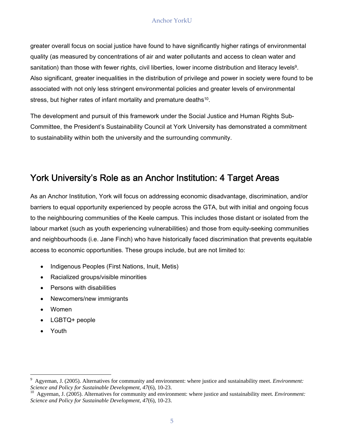greater overall focus on social justice have found to have significantly higher ratings of environmental quality (as measured by concentrations of air and water pollutants and access to clean water and sanitation) than those with fewer rights, civil liberties, lower income distribution and literacy levels<sup>9</sup>. Also significant, greater inequalities in the distribution of privilege and power in society were found to be associated with not only less stringent environmental policies and greater levels of environmental stress, but higher rates of infant mortality and premature deaths<sup>10</sup>.

The development and pursuit of this framework under the Social Justice and Human Rights Sub-Committee, the President's Sustainability Council at York University has demonstrated a commitment to sustainability within both the university and the surrounding community.

## York University's Role as an Anchor Institution: 4 Target Areas

As an Anchor Institution, York will focus on addressing economic disadvantage, discrimination, and/or barriers to equal opportunity experienced by people across the GTA, but with initial and ongoing focus to the neighbouring communities of the Keele campus. This includes those distant or isolated from the labour market (such as youth experiencing vulnerabilities) and those from equity-seeking communities and neighbourhoods (i.e. Jane Finch) who have historically faced discrimination that prevents equitable access to economic opportunities. These groups include, but are not limited to:

- Indigenous Peoples (First Nations, Inuit, Metis)
- Racialized groups/visible minorities
- Persons with disabilities
- Newcomers/new immigrants
- Women
- LGBTQ+ people

<u> 1989 - Johann Stein, marwolaethau a bh</u>

Youth

<sup>9</sup> Agyeman, J. (2005). Alternatives for community and environment: where justice and sustainability meet. *Environment: Science and Policy for Sustainable Development, 47(6), 10-23.* <sup>10</sup> Agyeman, J. (2005). Alternatives for community and environment: where justice and sustainability meet. *Environment:* <sup>10</sup>

*Science and Policy for Sustainable Development, 47*(6), 10-23.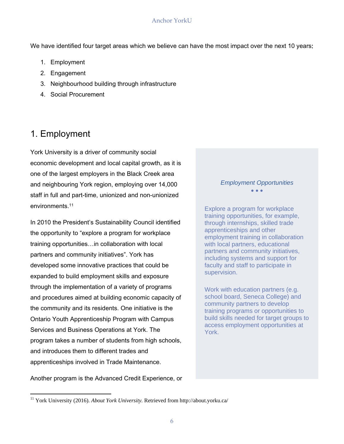We have identified four target areas which we believe can have the most impact over the next 10 years:

- 1. Employment
- 2. Engagement
- 3. Neighbourhood building through infrastructure
- 4. Social Procurement

## 1. Employment

York University is a driver of community social economic development and local capital growth, as it is one of the largest employers in the Black Creek area and neighbouring York region, employing over 14,000 staff in full and part-time, unionized and non-unionized environments.11

In 2010 the President's Sustainability Council identified the opportunity to "explore a program for workplace training opportunities…in collaboration with local partners and community initiatives". York has developed some innovative practices that could be expanded to build employment skills and exposure through the implementation of a variety of programs and procedures aimed at building economic capacity of the community and its residents. One initiative is the Ontario Youth Apprenticeship Program with Campus Services and Business Operations at York. The program takes a number of students from high schools, and introduces them to different trades and apprenticeships involved in Trade Maintenance.

Another program is the Advanced Credit Experience, or

#### $\bullet$   $\bullet$   $\bullet$ *Employment Opportunities*

supervision. Explore a program for workplace training opportunities, for example, through internships, skilled trade apprenticeships and other employment training in collaboration with local partners, educational partners and community initiatives, including systems and support for faculty and staff to participate in

Work with education partners (e.g. school board, Seneca College) and community partners to develop training programs or opportunities to build skills needed for target groups to access employment opportunities at York.

<sup>11</sup> York University (2016). *About York University.* Retrieved from http://about.yorku.ca/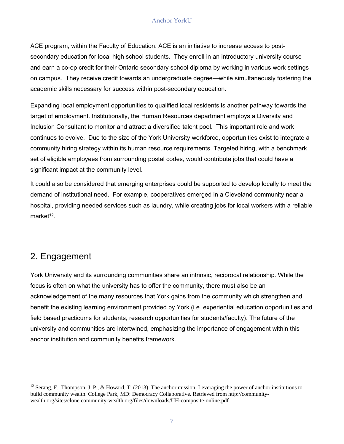ACE program, within the Faculty of Education. ACE is an initiative to increase access to postsecondary education for local high school students. They enroll in an introductory university course and earn a co-op credit for their Ontario secondary school diploma by working in various work settings on campus. They receive credit towards an undergraduate degree—while simultaneously fostering the academic skills necessary for success within post-secondary education.

Expanding local employment opportunities to qualified local residents is another pathway towards the target of employment. Institutionally, the Human Resources department employs a Diversity and Inclusion Consultant to monitor and attract a diversified talent pool. This important role and work continues to evolve. Due to the size of the York University workforce, opportunities exist to integrate a community hiring strategy within its human resource requirements. Targeted hiring, with a benchmark set of eligible employees from surrounding postal codes, would contribute jobs that could have a significant impact at the community level.

It could also be considered that emerging enterprises could be supported to develop locally to meet the demand of institutional need. For example, cooperatives emerged in a Cleveland community near a hospital, providing needed services such as laundry, while creating jobs for local workers with a reliable market $12$ .

## 2. Engagement

York University and its surrounding communities share an intrinsic, reciprocal relationship. While the focus is often on what the university has to offer the community, there must also be an acknowledgement of the many resources that York gains from the community which strengthen and benefit the existing learning environment provided by York (i.e. experiential education opportunities and field based practicums for students, research opportunities for students/faculty). The future of the university and communities are intertwined, emphasizing the importance of engagement within this anchor institution and community benefits framework.

 $12$  Serang, F., Thompson, J. P., & Howard, T. (2013). The anchor mission: Leveraging the power of anchor institutions to build community wealth. College Park, MD: Democracy Collaborative. Retrieved from http://communitywealth.org/sites/clone.community-wealth.org/files/downloads/UH-composite-online.pdf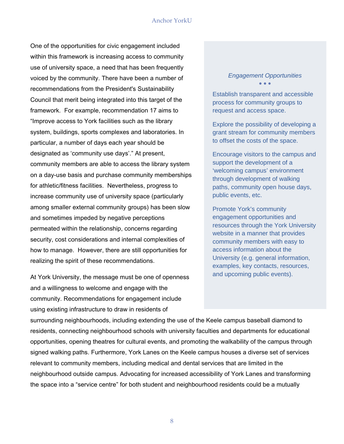One of the opportunities for civic engagement included within this framework is increasing access to community use of university space, a need that has been frequently voiced by the community. There have been a number of recommendations from the President's Sustainability Council that merit being integrated into this target of the framework. For example, recommendation 17 aims to "Improve access to York facilities such as the library system, buildings, sports complexes and laboratories. In particular, a number of days each year should be designated as 'community use days'." At present, community members are able to access the library system on a day-use basis and purchase community memberships for athletic/fitness facilities. Nevertheless, progress to increase community use of university space (particularly among smaller external community groups) has been slow and sometimes impeded by negative perceptions permeated within the relationship, concerns regarding security, cost considerations and internal complexities of how to manage. However, there are still opportunities for realizing the spirit of these recommendations.

At York University, the message must be one of openness and a willingness to welcome and engage with the community. Recommendations for engagement include using existing infrastructure to draw in residents of

#### *Engagement Opportunities*   $\bullet$   $\bullet$   $\bullet$

Establish transparent and accessible process for community groups to request and access space.

Explore the possibility of developing a grant stream for community members to offset the costs of the space.

Encourage visitors to the campus and support the development of a 'welcoming campus' environment through development of walking paths, community open house days, public events, etc.

Promote York's community engagement opportunities and resources through the York University website in a manner that provides community members with easy to access information about the University (e.g. general information, examples, key contacts, resources, and upcoming public events).

surrounding neighbourhoods, including extending the use of the Keele campus baseball diamond to residents, connecting neighbourhood schools with university faculties and departments for educational opportunities, opening theatres for cultural events, and promoting the walkability of the campus through signed walking paths. Furthermore, York Lanes on the Keele campus houses a diverse set of services relevant to community members, including medical and dental services that are limited in the neighbourhood outside campus. Advocating for increased accessibility of York Lanes and transforming the space into a "service centre" for both student and neighbourhood residents could be a mutually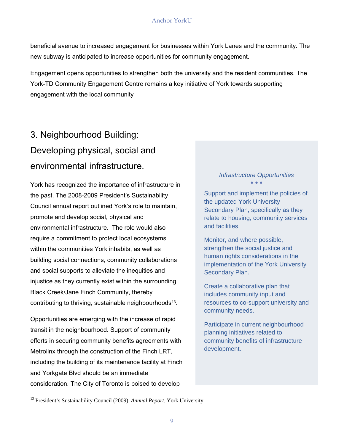beneficial avenue to increased engagement for businesses within York Lanes and the community. The new subway is anticipated to increase opportunities for community engagement.

Engagement opens opportunities to strengthen both the university and the resident communities. The York-TD Community Engagement Centre remains a key initiative of York towards supporting engagement with the local community

## 3. Neighbourhood Building: Developing physical, social and environmental infrastructure.

York has recognized the importance of infrastructure in the past. The 2008-2009 President's Sustainability Council annual report outlined York's role to maintain, promote and develop social, physical and environmental infrastructure. The role would also require a commitment to protect local ecosystems within the communities York inhabits, as well as building social connections, community collaborations and social supports to alleviate the inequities and injustice as they currently exist within the surrounding Black Creek/Jane Finch Community, thereby contributing to thriving, sustainable neighbourhoods<sup>13</sup>.

Opportunities are emerging with the increase of rapid transit in the neighbourhood. Support of community efforts in securing community benefits agreements with Metrolinx through the construction of the Finch LRT, including the building of its maintenance facility at Finch and Yorkgate Blvd should be an immediate consideration. The City of Toronto is poised to develop

#### *Infrastructure Opportunities*   $\bullet$   $\bullet$   $\bullet$

Support and implement the policies of the updated York University Secondary Plan, specifically as they relate to housing, community services and facilities.

Monitor, and where possible, strengthen the social justice and human rights considerations in the implementation of the York University Secondary Plan.

Create a collaborative plan that includes community input and resources to co-support university and community needs.

Participate in current neighbourhood planning initiatives related to community benefits of infrastructure development.

<sup>13</sup> President's Sustainability Council (2009). *Annual Report.* York University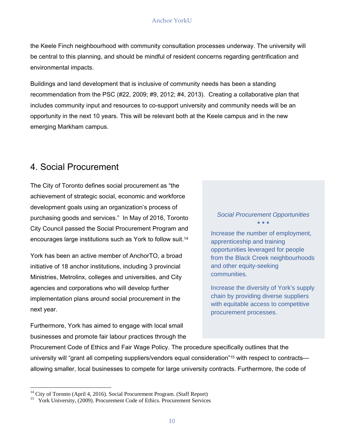the Keele Finch neighbourhood with community consultation processes underway. The university will be central to this planning, and should be mindful of resident concerns regarding gentrification and environmental impacts.

Buildings and land development that is inclusive of community needs has been a standing recommendation from the PSC (#22, 2009; #9, 2012; #4, 2013). Creating a collaborative plan that includes community input and resources to co-support university and community needs will be an opportunity in the next 10 years. This will be relevant both at the Keele campus and in the new emerging Markham campus.

## 4. Social Procurement

The City of Toronto defines social procurement as "the achievement of strategic social, economic and workforce development goals using an organization's process of *Social Procurement Opportunities* purchasing goods and services." In May of 2016, Toronto City Council passed the Social Procurement Program and Increase the number of employment, encourages large institutions such as York to follow suit.<sup>14</sup> apprenticeship and training

York has been an active member of AnchorTO, a broad from the Black Creek neighbourhoods initiative of 18 anchor institutions, including 3 provincial and other equity-seeking communities. Ministries, Metrolinx, colleges and universities, and City agencies and corporations who will develop further **Increase** the diversity of York's supply implementation plans around social procurement in the access to competitive inext year.<br>
In the with equitable access to competitive procurement processes.

Furthermore, York has aimed to engage with local small businesses and promote fair labour practices through the

opportunities leveraged for people

Procurement Code of Ethics and Fair Wage Policy. The procedure specifically outlines that the university will "grant all competing suppliers/vendors equal consideration"15 with respect to contracts allowing smaller, local businesses to compete for large university contracts. Furthermore, the code of

<sup>&</sup>lt;sup>14</sup> City of Toronto (April 4, 2016). Social Procurement Program. (Staff Report)

<sup>&</sup>lt;sup>15</sup> York University, (2009). Procurement Code of Ethics. Procurement Services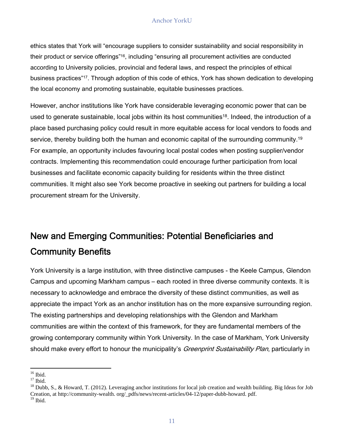ethics states that York will "encourage suppliers to consider sustainability and social responsibility in their product or service offerings"16, including "ensuring all procurement activities are conducted according to University policies, provincial and federal laws, and respect the principles of ethical business practices"17. Through adoption of this code of ethics, York has shown dedication to developing the local economy and promoting sustainable, equitable businesses practices.

However, anchor institutions like York have considerable leveraging economic power that can be used to generate sustainable, local jobs within its host communities<sup>18</sup>. Indeed, the introduction of a place based purchasing policy could result in more equitable access for local vendors to foods and service, thereby building both the human and economic capital of the surrounding community.<sup>19</sup> For example, an opportunity includes favouring local postal codes when posting supplier/vendor contracts. Implementing this recommendation could encourage further participation from local businesses and facilitate economic capacity building for residents within the three distinct communities. It might also see York become proactive in seeking out partners for building a local procurement stream for the University.

## New and Emerging Communities: Potential Beneficiaries and Community Benefits

York University is a large institution, with three distinctive campuses - the Keele Campus, Glendon Campus and upcoming Markham campus – each rooted in three diverse community contexts. It is necessary to acknowledge and embrace the diversity of these distinct communities, as well as appreciate the impact York as an anchor institution has on the more expansive surrounding region. The existing partnerships and developing relationships with the Glendon and Markham communities are within the context of this framework, for they are fundamental members of the growing contemporary community within York University. In the case of Markham, York University should make every effort to honour the municipality's *Greenprint Sustainability Plan*, particularly in

<sup>&</sup>lt;u> 1989 - Johann Stein, marwolaethau a bhann an t-Amhair Aonaichte an t-Amhair Aonaichte an t-Amhair Aonaichte a</u>  $16$  Ibid.

 $17$  Ibid.

 $^{18}$  Dubb, S., & Howard, T. (2012). Leveraging anchor institutions for local job creation and wealth building. Big Ideas for Job Creation, at http://community-wealth. org/\_pdfs/news/recent-articles/04-12/paper-dubb-howard. pdf.  $19$  Ibid.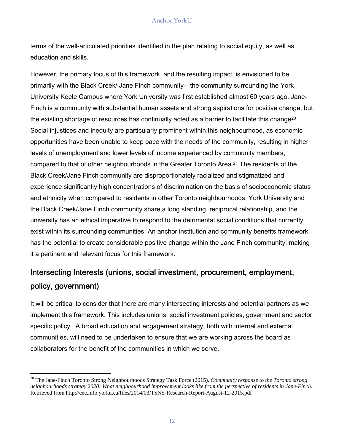terms of the well-articulated priorities identified in the plan relating to social equity, as well as education and skills.

However, the primary focus of this framework, and the resulting impact, is envisioned to be primarily with the Black Creek/ Jane Finch community—the community surrounding the York University Keele Campus where York University was first established almost 60 years ago. Jane-Finch is a community with substantial human assets and strong aspirations for positive change, but the existing shortage of resources has continually acted as a barrier to facilitate this change20. Social injustices and inequity are particularly prominent within this neighbourhood, as economic opportunities have been unable to keep pace with the needs of the community, resulting in higher levels of unemployment and lower levels of income experienced by community members, compared to that of other neighbourhoods in the Greater Toronto Area.21 The residents of the Black Creek/Jane Finch community are disproportionately racialized and stigmatized and experience significantly high concentrations of discrimination on the basis of socioeconomic status and ethnicity when compared to residents in other Toronto neighbourhoods. York University and the Black Creek/Jane Finch community share a long standing, reciprocal relationship, and the university has an ethical imperative to respond to the detrimental social conditions that currently exist within its surrounding communities. An anchor institution and community benefits framework has the potential to create considerable positive change within the Jane Finch community, making it a pertinent and relevant focus for this framework.

## Intersecting Interests (unions, social investment, procurement, employment, policy, government)

It will be critical to consider that there are many intersecting interests and potential partners as we implement this framework. This includes unions, social investment policies, government and sector specific policy. A broad education and engagement strategy, both with internal and external communities, will need to be undertaken to ensure that we are working across the board as collaborators for the benefit of the communities in which we serve.

<u> 1989 - Johann Stein, marwolaethau a bh</u>

 *neighbourhoods strategy 2020: What neighbourhood improvement looks like from the perspective of residents in Jane-Finch.*  20 The Jane-Finch Toronto Strong Neighbourhoods Strategy Task Force (2015). *Community response to the Toronto strong*  Retrieved from http://cec.info.yorku.ca/files/2014/03/TSNS-Research-Report-August-12-2015.pdf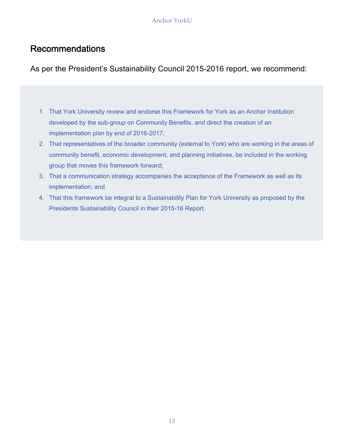## Recommendations

As per the President's Sustainability Council 2015-2016 report, we recommend:

- 1. That York University review and endorse this Framework for York as an Anchor Institution developed by the sub-group on Community Benefits, and direct the creation of an implementation plan by end of 2016-2017;
- 2. That representatives of the broader community (external to York) who are working in the areas of community benefit, economic development, and planning initiatives, be included in the working group that moves this framework forward;
- 3. That a communication strategy accompanies the acceptance of the Framework as well as its implementation; and
- 4. That this framework be integral to a Sustainability Plan for York University as proposed by the Presidents Sustainability Council in their 2015-16 Report.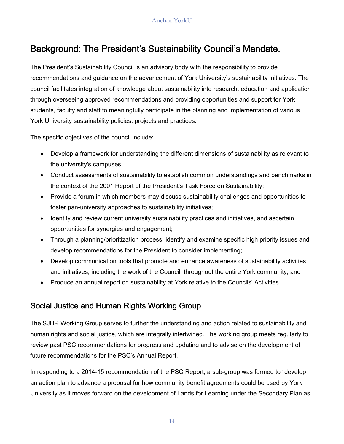## Background: The President's Sustainability Council's Mandate.

The President's Sustainability Council is an advisory body with the responsibility to provide recommendations and guidance on the advancement of York University's sustainability initiatives. The council facilitates integration of knowledge about sustainability into research, education and application through overseeing approved recommendations and providing opportunities and support for York students, faculty and staff to meaningfully participate in the planning and implementation of various York University sustainability policies, projects and practices.

The specific objectives of the council include:

- Develop a framework for understanding the different dimensions of sustainability as relevant to the university's campuses;
- Conduct assessments of sustainability to establish common understandings and benchmarks in the context of the 2001 Report of the President's Task Force on Sustainability;
- Provide a forum in which members may discuss sustainability challenges and opportunities to foster pan-university approaches to sustainability initiatives;
- Identify and review current university sustainability practices and initiatives, and ascertain opportunities for synergies and engagement;
- Through a planning/prioritization process, identify and examine specific high priority issues and develop recommendations for the President to consider implementing;
- Develop communication tools that promote and enhance awareness of sustainability activities and initiatives, including the work of the Council, throughout the entire York community; and
- Produce an annual report on sustainability at York relative to the Councils' Activities.

## Social Justice and Human Rights Working Group

The SJHR Working Group serves to further the understanding and action related to sustainability and human rights and social justice, which are integrally intertwined. The working group meets regularly to review past PSC recommendations for progress and updating and to advise on the development of future recommendations for the PSC's Annual Report.

In responding to a 2014-15 recommendation of the PSC Report, a sub-group was formed to "develop an action plan to advance a proposal for how community benefit agreements could be used by York University as it moves forward on the development of Lands for Learning under the Secondary Plan as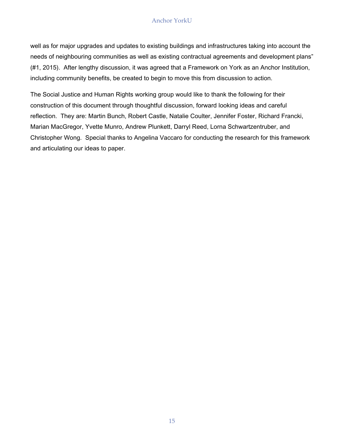well as for major upgrades and updates to existing buildings and infrastructures taking into account the needs of neighbouring communities as well as existing contractual agreements and development plans" (#1, 2015). After lengthy discussion, it was agreed that a Framework on York as an Anchor Institution, including community benefits, be created to begin to move this from discussion to action.

The Social Justice and Human Rights working group would like to thank the following for their construction of this document through thoughtful discussion, forward looking ideas and careful reflection. They are: Martin Bunch, Robert Castle, Natalie Coulter, Jennifer Foster, Richard Francki, Marian MacGregor, Yvette Munro, Andrew Plunkett, Darryl Reed, Lorna Schwartzentruber, and Christopher Wong. Special thanks to Angelina Vaccaro for conducting the research for this framework and articulating our ideas to paper.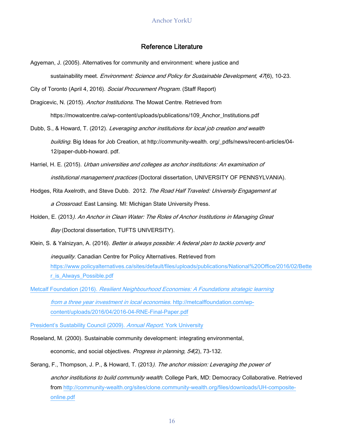#### Reference Literature

Agyeman, J. (2005). Alternatives for community and environment: where justice and sustainability meet. Environment: Science and Policy for Sustainable Development, 47(6), 10-23.

City of Toronto (April 4, 2016). Social Procurement Program. (Staff Report)

- Dragicevic, N. (2015). Anchor Institutions. The Mowat Centre. Retrieved from https://mowatcentre.ca/wp-content/uploads/publications/109\_Anchor\_Institutions.pdf
- Dubb, S., & Howard, T. (2012). Leveraging anchor institutions for local job creation and wealth building. Big Ideas for Job Creation, at http://community-wealth. org/\_pdfs/news/recent-articles/04- 12/paper-dubb-howard. pdf.
- Harriel, H. E. (2015). Urban universities and colleges as anchor institutions: An examination of institutional management practices (Doctoral dissertation, UNIVERSITY OF PENNSYLVANIA).
- Hodges, Rita Axelroth, and Steve Dubb. 2012. The Road Half Traveled: University Engagement at a Crossroad. East Lansing. MI: Michigan State University Press.
- Holden, E. (2013). An Anchor in Clean Water: The Roles of Anchor Institutions in Managing Great Bay (Doctoral dissertation, TUFTS UNIVERSITY).

Klein, S. & Yalnizyan, A. (2016). *Better is always possible: A federal plan to tackle poverty and*<br>*inequality.* Canadian Centre for Policy Alternatives. Retrieved from https://www.policyalternatives.ca/sites/default/files/uploads/publications/National%20Office/2016/02/Bette r\_is\_Always\_Possible.pdf

Metcalf Foundation (2016). *Resilient Neighbourhood Economies: A Foundations strategic learning*<br>*from a three year investment in local economies.* http://metcalffoundation.com/wpcontent/uploads/2016/04/2016-04-RNE-Final-Paper.pdf

President's Sustability Council (2009). Annual Report. York University

- Roseland, M. (2000). Sustainable community development: integrating environmental, economic, and social objectives. Progress in planning, 54(2), 73-132.
- Serang, F., Thompson, J. P., & Howard, T. (2013). The anchor mission: Leveraging the power of anchor institutions to build community wealth. College Park, MD: Democracy Collaborative. Retrieved from http://community-wealth.org/sites/clone.community-wealth.org/files/downloads/UH-compositeonline.pdf